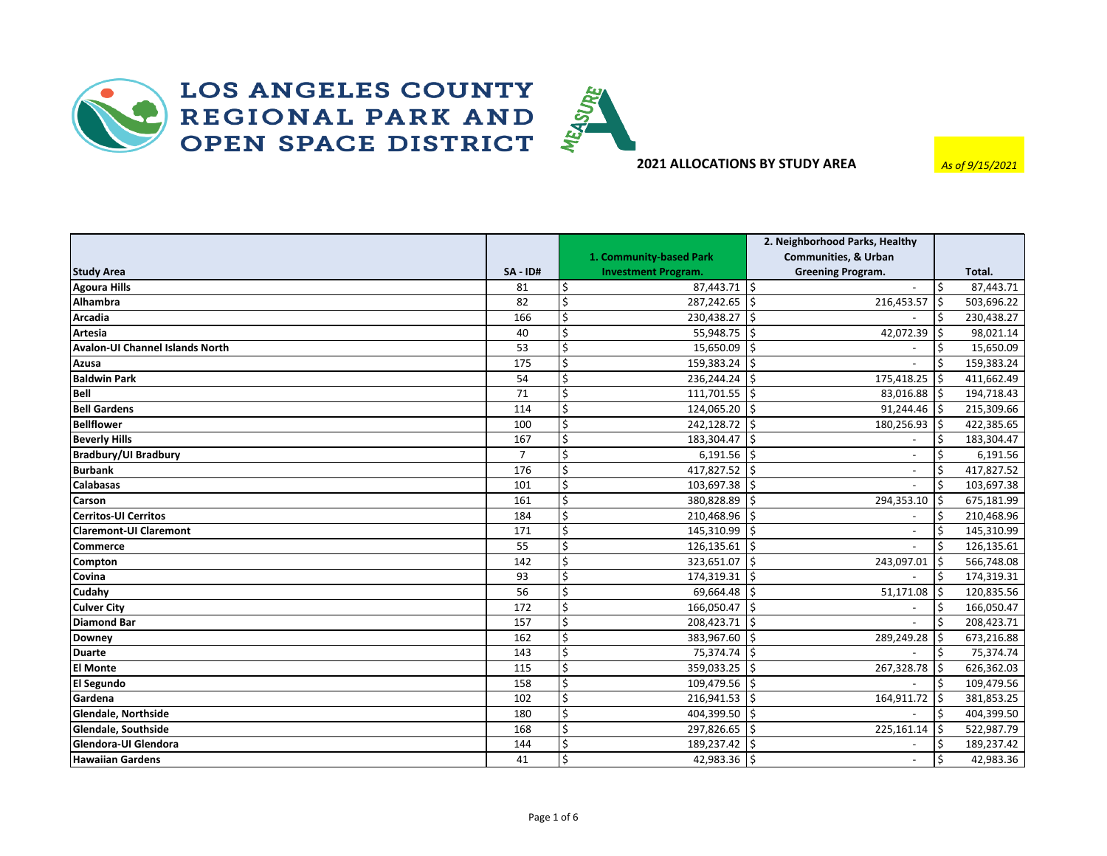



|                                        |                |                            | 2. Neighborhood Parks, Healthy  |    |            |
|----------------------------------------|----------------|----------------------------|---------------------------------|----|------------|
|                                        |                | 1. Community-based Park    | <b>Communities, &amp; Urban</b> |    |            |
| <b>Study Area</b>                      | $SA - ID#$     | <b>Investment Program.</b> | <b>Greening Program.</b>        |    | Total.     |
| <b>Agoura Hills</b>                    | 81             | $87,443.71$ \$<br>\$       |                                 | \$ | 87,443.71  |
| Alhambra                               | 82             | Ś<br>$287,242.65$ \$       | 216,453.57                      | \$ | 503,696.22 |
| Arcadia                                | 166            | 230,438.27   \$            |                                 |    | 230,438.27 |
| <b>Artesia</b>                         | 40             | 55,948.75   \$             | 42,072.39                       | Ś  | 98,021.14  |
| <b>Avalon-UI Channel Islands North</b> | 53             | Ś<br>15,650.09             | l\$                             | \$ | 15,650.09  |
| Azusa                                  | 175            | Ś<br>159,383.24            | 15                              | \$ | 159,383.24 |
| <b>Baldwin Park</b>                    | 54             | \$<br>236,244.24           | l\$<br>175,418.25               | Ś  | 411,662.49 |
| Bell                                   | 71             | $111,701.55$   \$<br>Ś     | 83,016.88                       | Ŝ. | 194,718.43 |
| <b>Bell Gardens</b>                    | 114            | Ś<br>124,065.20            | ۱Ś<br>91,244.46                 | Ŝ. | 215,309.66 |
| <b>Bellflower</b>                      | 100            | \$<br>242,128.72   \$      | 180,256.93                      | Ŝ. | 422,385.65 |
| <b>Beverly Hills</b>                   | 167            | \$<br>183,304.47           | ١ś                              | \$ | 183,304.47 |
| <b>Bradbury/UI Bradbury</b>            | $\overline{7}$ | Ś<br>$6,191.56$   \$       |                                 | \$ | 6,191.56   |
| Burbank                                | 176            | \$<br>417,827.52   \$      |                                 | \$ | 417,827.52 |
| <b>Calabasas</b>                       | 101            | \$<br>$103,697.38$ 5       |                                 | Ś  | 103,697.38 |
| Carson                                 | 161            | \$<br>380,828.89   \$      | 294,353.10                      | Ś  | 675,181.99 |
| <b>Cerritos-UI Cerritos</b>            | 184            | \$<br>$210,468.96$ \$      |                                 | Ś  | 210,468.96 |
| <b>Claremont-UI Claremont</b>          | 171            | Ś<br>145,310.99            | l \$                            | Ś  | 145,310.99 |
| Commerce                               | 55             | Ś<br>$126, 135.61$   \$    |                                 | Ś  | 126,135.61 |
| Compton                                | 142            | Ś<br>323,651.07            | 15<br>243,097.01                | Ś  | 566,748.08 |
| Covina                                 | 93             | Ś<br>174,319.31            | l\$                             | \$ | 174,319.31 |
| Cudahy                                 | 56             | Ś<br>$69,664.48$ \ \$      | 51,171.08                       | Ś  | 120,835.56 |
| <b>Culver City</b>                     | 172            | \$<br>$166,050.47$ \\$     |                                 | Ś  | 166,050.47 |
| Diamond Bar                            | 157            | 208,423.71   \$<br>Ś       |                                 | Ś  | 208,423.71 |
| Downey                                 | 162            | \$<br>383,967.60           | ۱Ś<br>289,249.28                | Ś  | 673,216.88 |
| Duarte                                 | 143            | Ś<br>75,374.74             | İ\$                             | Ś  | 75,374.74  |
| El Monte                               | 115            | Ś<br>$359,033.25$   \$     | 267,328.78                      | \$ | 626,362.03 |
| El Segundo                             | 158            | \$<br>109,479.56   \$      |                                 | \$ | 109,479.56 |
| Gardena                                | 102            | \$<br>$216,941.53$   \$    | 164,911.72                      | \$ | 381,853.25 |
| Glendale, Northside                    | 180            | \$<br>404,399.50 \$        |                                 |    | 404,399.50 |
| Glendale, Southside                    | 168            | \$<br>$297,826.65$ \$      | 225,161.14                      | Ŝ. | 522,987.79 |
| <b>Glendora-UI Glendora</b>            | 144            | \$<br>189,237.42   \$      |                                 |    | 189,237.42 |
| Hawaiian Gardens                       | 41             | Ś<br>42,983.36 $ \$$       |                                 | \$ | 42,983.36  |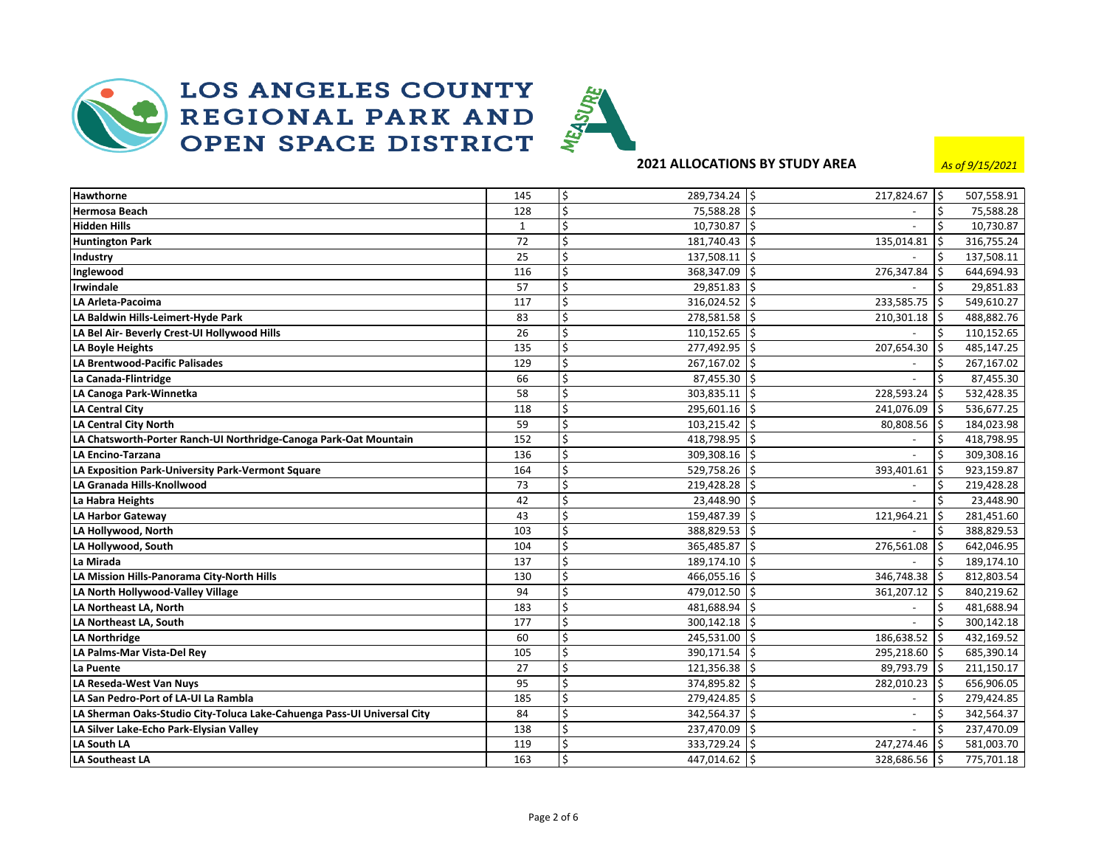



| <b>Hawthorne</b>                                                        | 145 | \$<br>289,734.24   \$   | 217,824.67                      | İ\$ | 507,558.91 |
|-------------------------------------------------------------------------|-----|-------------------------|---------------------------------|-----|------------|
| <b>Hermosa Beach</b>                                                    | 128 | 75,588.28   \$<br>Ś     |                                 | l\$ | 75,588.28  |
| $\vert$ Hidden Hills                                                    | 1   | $10,730.87$ \$<br>Ś     |                                 | ١\$ | 10,730.87  |
| <b>Huntington Park</b>                                                  | 72  | Ś<br>181,740.43   \$    | 135,014.81                      | I\$ | 316,755.24 |
| Industry                                                                | 25  | \$<br>$137,508.11$ 5    |                                 |     | 137,508.11 |
| Inglewood                                                               | 116 | 368,347.09   \$<br>Ś    | 276,347.84                      | l Ś | 644,694.93 |
| Irwindale                                                               | 57  | Ś<br>$29,851.83$ \$     |                                 |     | 29,851.83  |
| LA Arleta-Pacoima                                                       | 117 | Ś<br>$316,024.52$ \$    | 233,585.75                      | l\$ | 549,610.27 |
| LA Baldwin Hills-Leimert-Hyde Park                                      | 83  | Ś<br>278,581.58   \$    | 210,301.18                      | I\$ | 488,882.76 |
| LA Bel Air- Beverly Crest-UI Hollywood Hills                            | 26  | \$<br>$110,152.65$   \$ |                                 | ١ś  | 110,152.65 |
| LA Boyle Heights                                                        | 135 | \$<br>277,492.95  \$    | 207,654.30                      | ١\$ | 485,147.25 |
| LA Brentwood-Pacific Palisades                                          | 129 | \$<br>267,167.02   \$   |                                 | l\$ | 267,167.02 |
| La Canada-Flintridge                                                    | 66  | Ś<br>87,455.30          | \$                              | \$  | 87,455.30  |
| LA Canoga Park-Winnetka                                                 | 58  | Ś<br>303,835.11         | Ś<br>228,593.24                 |     | 532,428.35 |
| LA Central City                                                         | 118 | Ś<br>295,601.16   \$    | 241,076.09                      | l\$ | 536,677.25 |
| LA Central City North                                                   | 59  | Ś<br>$103,215.42$ \$    | 80,808.56                       | l\$ | 184,023.98 |
| LA Chatsworth-Porter Ranch-UI Northridge-Canoga Park-Oat Mountain       | 152 | Ś<br>418,798.95 \$      |                                 | l\$ | 418,798.95 |
| LA Encino-Tarzana                                                       | 136 | Ś<br>$309,308.16$ \$    | $\overline{a}$                  |     | 309,308.16 |
| LA Exposition Park-University Park-Vermont Square                       | 164 | Ś<br>$529,758.26$ \$    | 393,401.61                      |     | 923,159.87 |
| LA Granada Hills-Knollwood                                              | 73  | Ś<br>219,428.28   \$    | $\overline{\phantom{a}}$        |     | 219,428.28 |
| La Habra Heights                                                        | 42  | 23,448.90 \$<br>ς       |                                 |     | 23,448.90  |
| LA Harbor Gateway                                                       | 43  | 159,487.39   \$<br>ς    | 121,964.21                      |     | 281,451.60 |
| LA Hollywood, North                                                     | 103 | 388,829.53   \$<br>\$   |                                 | ۱ś  | 388,829.53 |
| LA Hollywood, South                                                     | 104 | 365,485.87   \$<br>ς    | 276,561.08                      | l Ś | 642,046.95 |
| La Mirada                                                               | 137 | 189,174.10   \$<br>Ś    |                                 | ۱ś  | 189,174.10 |
| LA Mission Hills-Panorama City-North Hills                              | 130 | Ś<br>466,055.16   \$    | 346,748.38                      | l\$ | 812,803.54 |
| LA North Hollywood-Valley Village                                       | 94  | 479,012.50 \$<br>Ś.     | $361,207.12$ $\mid$ \$          |     | 840,219.62 |
| LA Northeast LA, North                                                  | 183 | Ś.<br>481,688.94   \$   |                                 | l\$ | 481,688.94 |
| LA Northeast LA, South                                                  | 177 | $300,142.18$ \$<br>\$   | $\overline{a}$                  | l\$ | 300,142.18 |
| LA Northridge                                                           | 60  | Ś<br>$245,531.00$ 5     | 186,638.52                      |     | 432,169.52 |
| LA Palms-Mar Vista-Del Rey                                              | 105 | Ś<br>390,171.54 \$      | 295,218.60                      | I\$ | 685,390.14 |
| l La Puente                                                             | 27  | \$<br>121,356.38   \$   | 89,793.79                       | l\$ | 211,150.17 |
| LA Reseda-West Van Nuys                                                 | 95  | ς<br>374,895.82   \$    | 282,010.23                      | l Ś | 656,906.05 |
| LA San Pedro-Port of LA-UI La Rambla                                    | 185 | 279,424.85              | l s<br>$\overline{\phantom{a}}$ | ۱ś  | 279,424.85 |
| LA Sherman Oaks-Studio City-Toluca Lake-Cahuenga Pass-UI Universal City | 84  | 342,564.37              | ۱\$<br>$\overline{\phantom{a}}$ |     | 342,564.37 |
| LA Silver Lake-Echo Park-Elysian Valley                                 | 138 | 237,470.09              | \$                              |     | 237,470.09 |
| LA South LA                                                             | 119 | 333,729.24              | Ś<br>247,274.46                 |     | 581,003.70 |
| LA Southeast LA                                                         | 163 | Ś<br>447,014.62   \$    | 328,686.56 \$                   |     | 775,701.18 |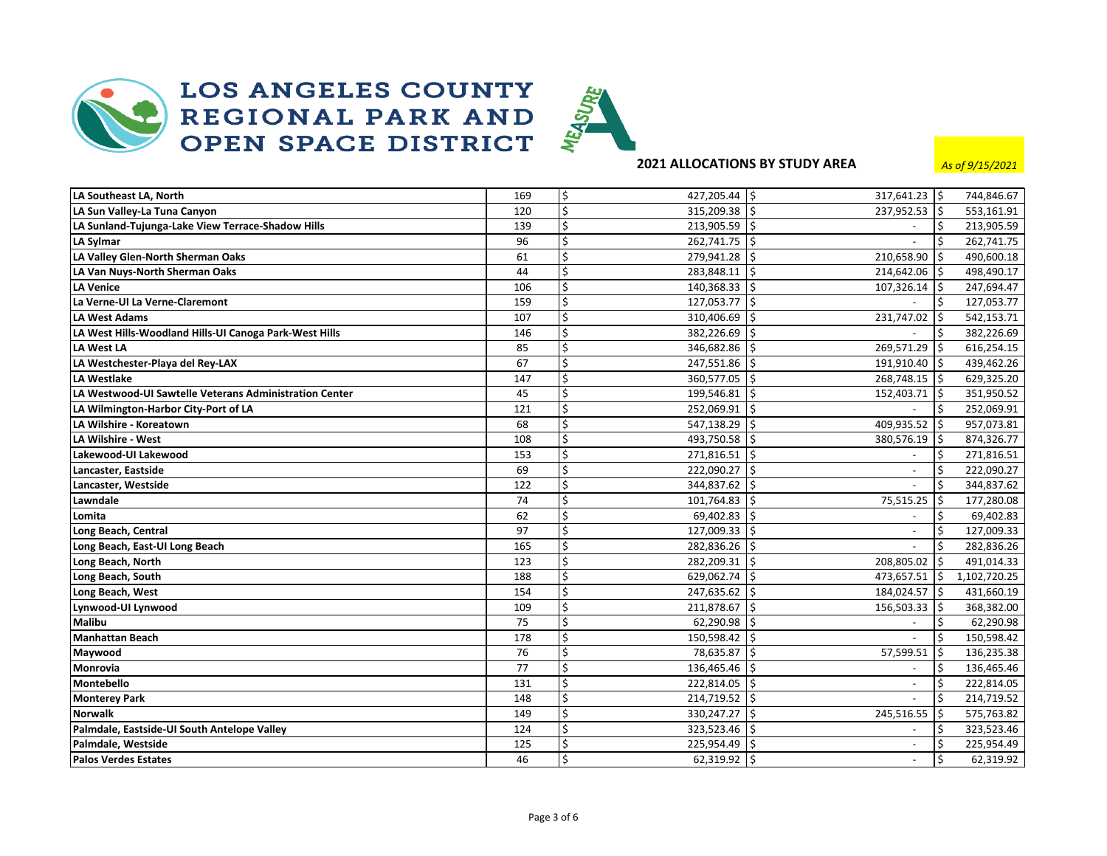



| LA Southeast LA, North                                 | 169 | \$<br>$427,205.44$ \$           | 317,641.23                     | ١\$ | 744,846.67   |
|--------------------------------------------------------|-----|---------------------------------|--------------------------------|-----|--------------|
| LA Sun Valley-La Tuna Canyon                           | 120 | \$<br>$315,209.38$   \$         | 237,952.53                     | ١\$ | 553,161.91   |
| LA Sunland-Tujunga-Lake View Terrace-Shadow Hills      | 139 | Ś<br>$213,905.59$ \$            |                                | \$  | 213,905.59   |
| LA Sylmar                                              | 96  | $262,741.75$ 5<br>Ś             |                                | Ś.  | 262,741.75   |
| LA Valley Glen-North Sherman Oaks                      | 61  | Ś<br>279,941.28   \$            | 210,658.90                     | Ŝ.  | 490,600.18   |
| LA Van Nuys-North Sherman Oaks                         | 44  | Ś<br>283,848.11   \$            | 214,642.06                     | l\$ | 498,490.17   |
| LA Venice                                              | 106 | Ś<br>140,368.33   \$            | 107,326.14                     | l\$ | 247,694.47   |
| La Verne-UI La Verne-Claremont                         | 159 | Ś<br>$127,053.77$ $\frac{1}{5}$ |                                | \$  | 127,053.77   |
| <b>LA West Adams</b>                                   | 107 | Ś<br>310,406.69                 | 231,747.02<br>\$               | \$  | 542,153.71   |
| LA West Hills-Woodland Hills-UI Canoga Park-West Hills | 146 | Ś<br>382,226.69                 | Ś.                             | Ŝ   | 382,226.69   |
| LA West LA                                             | 85  | Ś<br>346,682.86                 | Ś<br>269,571.29                | ١\$ | 616,254.15   |
| LA Westchester-Playa del Rey-LAX                       | 67  | Ś<br>247,551.86   \$            | 191,910.40                     | l\$ | 439,462.26   |
| LA Westlake                                            | 147 | Ś<br>360,577.05 \$              | 268,748.15                     | l\$ | 629,325.20   |
| LA Westwood-UI Sawtelle Veterans Administration Center | 45  | Ś<br>199,546.81                 | \$<br>152,403.71               | l\$ | 351,950.52   |
| LA Wilmington-Harbor City-Port of LA                   | 121 | Ś<br>252,069.91                 | \$                             | \$  | 252,069.91   |
| LA Wilshire - Koreatown                                | 68  | Ś<br>547,138.29                 | 409,935.52<br>Ŝ.               | l\$ | 957,073.81   |
| LA Wilshire - West                                     | 108 | Ś<br>493,750.58                 | Ś<br>380,576.19                | l\$ | 874,326.77   |
| Lakewood-UI Lakewood                                   | 153 | $271,816.51$ \$<br>Ś            |                                | \$  | 271,816.51   |
| Lancaster, Eastside                                    | 69  | Ś<br>$222,090.27$ \$            | $\blacksquare$                 | \$  | 222,090.27   |
| Lancaster, Westside                                    | 122 | Ś<br>$344,837.62$ \$            | $\overline{\phantom{0}}$       | Ś.  | 344,837.62   |
| Lawndale                                               | 74  | Ś<br>$101,764.83$   \$          | 75,515.25                      | l\$ | 177,280.08   |
| Lomita                                                 | 62  | Ś<br>$69,402.83$ 5              |                                | Ŝ.  | 69,402.83    |
| Long Beach, Central                                    | 97  | Ś<br>$127,009.33$  \$           | $\overline{\phantom{a}}$       | Ŝ.  | 127,009.33   |
| Long Beach, East-UI Long Beach                         | 165 | 282,836.26   \$<br>Ś            | $\overline{\phantom{0}}$       | Ś.  | 282,836.26   |
| Long Beach, North                                      | 123 | Ś<br>282,209.31   \$            | 208,805.02                     | Ŝ.  | 491,014.33   |
| Long Beach, South                                      | 188 | Ś<br>$629,062.74$ \\$           | 473,657.51                     | \$  | 1,102,720.25 |
| Long Beach, West                                       | 154 | Ś<br>247,635.62   \$            | 184,024.57                     | l\$ | 431,660.19   |
| Lynwood-UI Lynwood                                     | 109 | Ś<br>211,878.67                 | Ŝ.<br>156,503.33               | l\$ | 368,382.00   |
| Malibu                                                 | 75  | Ś<br>62,290.98                  | Ŝ.                             | \$  | 62,290.98    |
| Manhattan Beach                                        | 178 | Ś<br>150,598.42                 | \$<br>$\overline{a}$           | \$  | 150,598.42   |
| Maywood                                                | 76  | 78,635.87 \$<br>Ś               | 57,599.51                      | ١\$ | 136,235.38   |
| Monrovia                                               | 77  | Ś<br>136,465.46                 | \$<br>$\overline{\phantom{a}}$ | \$  | 136,465.46   |
| Montebello                                             | 131 | Ś<br>222,814.05                 | Ŝ.<br>$\blacksquare$           | \$  | 222,814.05   |
| Monterey Park                                          | 148 | Ś<br>214,719.52                 | \$                             | \$  | 214,719.52   |
| Norwalk                                                | 149 | 330,247.27                      | \$<br>245,516.55               | Ŝ   | 575,763.82   |
| Palmdale, Eastside-UI South Antelope Valley            | 124 | Ś<br>323,523.46                 | Ś<br>$\overline{\phantom{a}}$  | \$  | 323,523.46   |
| Palmdale, Westside                                     | 125 | 225,954.49                      | Ś<br>$\overline{\phantom{a}}$  |     | 225,954.49   |
| Palos Verdes Estates                                   | 46  | $62,319.92$ 5                   | $\overline{\phantom{a}}$       | Ś   | 62,319.92    |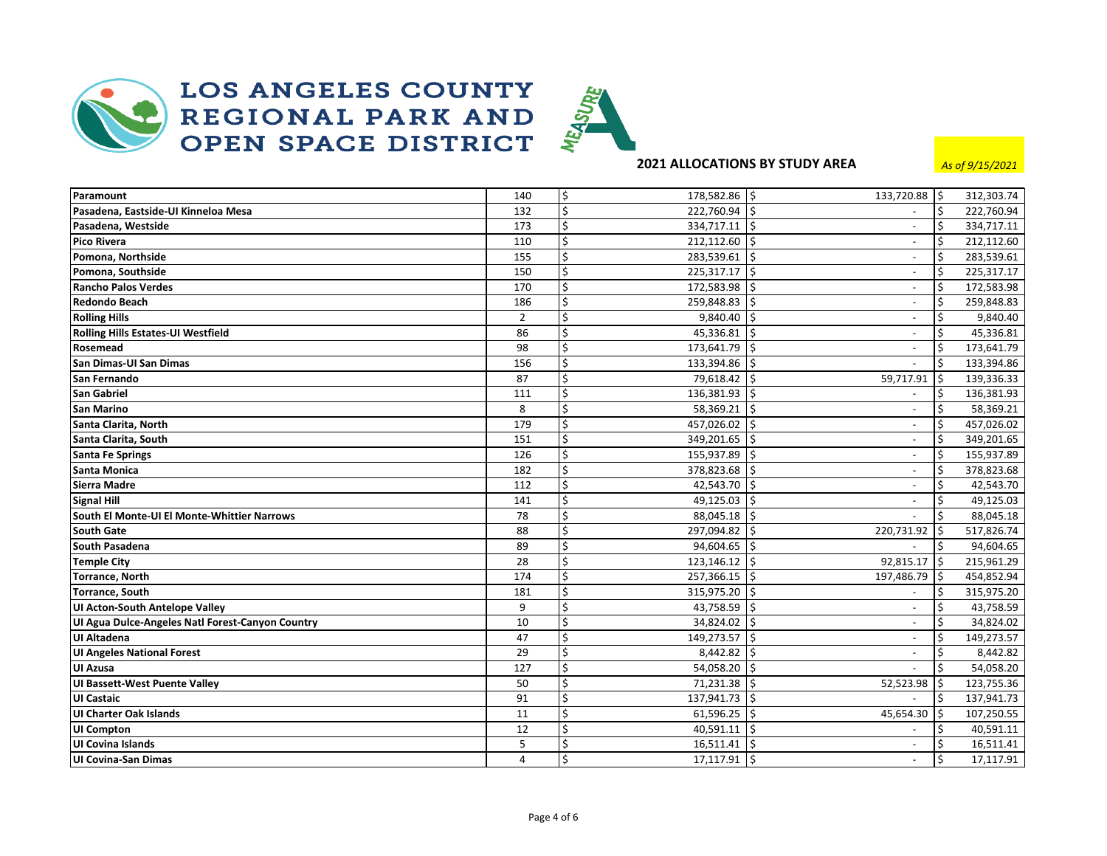



| Paramount                                        | 140            | \$<br>178,582.86   \$          | 133,720.88                      | İ\$                | 312,303.74 |
|--------------------------------------------------|----------------|--------------------------------|---------------------------------|--------------------|------------|
| Pasadena, Eastside-UI Kinneloa Mesa              | 132            | Ś<br>222,760.94   \$           |                                 | \$                 | 222,760.94 |
| Pasadena, Westside                               | 173            | $334,717.11$ \$<br>Ś           | $\overline{\phantom{a}}$        | \$                 | 334,717.11 |
| <b>Pico Rivera</b>                               | 110            | Ś<br>$212,112.60$   \$         | $\overline{\phantom{a}}$        | \$                 | 212,112.60 |
| Pomona, Northside                                | 155            | \$<br>283,539.61   \$          | $\overline{\phantom{a}}$        | \$                 | 283,539.61 |
| Pomona, Southside                                | 150            | \$<br>$225,317.17$ \$          | $\blacksquare$                  | \$                 | 225,317.17 |
| <b>Rancho Palos Verdes</b>                       | 170            | \$<br>172,583.98   \$          | $\blacksquare$                  | \$                 | 172,583.98 |
| <b>Redondo Beach</b>                             | 186            | \$<br>259,848.83   \$          | $\overline{\phantom{a}}$        | \$                 | 259,848.83 |
| <b>Rolling Hills</b>                             | 2              | Ś<br>$9,840.40$ \$             | $\overline{\phantom{a}}$        | \$                 | 9,840.40   |
| <b>Rolling Hills Estates-UI Westfield</b>        | 86             | \$<br>$45,336.81$ \\$          | $\overline{\phantom{a}}$        | \$                 | 45,336.81  |
| Rosemead                                         | 98             | \$<br>173,641.79   \$          | $\overline{\phantom{a}}$        | \$                 | 173,641.79 |
| San Dimas-UI San Dimas                           | 156            | Ś<br>133,394.86   \$           | $\overline{\phantom{a}}$        | \$                 | 133,394.86 |
| San Fernando                                     | 87             | Ś<br>79,618.42   \$            | 59,717.91                       | ١ś                 | 139,336.33 |
| <b>San Gabriel</b>                               | 111            | Ś<br>136,381.93                | ۱Ś                              | \$                 | 136,381.93 |
| <b>San Marino</b>                                | 8              | Ś<br>$58,369.21$   \$          | $\overline{\phantom{a}}$        | \$                 | 58,369.21  |
| Santa Clarita, North                             | 179            | \$<br>457,026.02   \$          | $\blacksquare$                  | \$                 | 457,026.02 |
| Santa Clarita, South                             | 151            | \$<br>349,201.65 \$            | $\overline{\phantom{a}}$        | \$                 | 349,201.65 |
| <b>Santa Fe Springs</b>                          | 126            | \$<br>155,937.89   \$          | $\overline{\phantom{a}}$        | \$                 | 155,937.89 |
| <b>Santa Monica</b>                              | 182            | Ś<br>378,823.68 5              | $\overline{\phantom{a}}$        | Ś.                 | 378,823.68 |
| <b>Sierra Madre</b>                              | 112            | Ś<br>$42,543.70$ \\$           | $\blacksquare$                  | Ś.                 | 42,543.70  |
| <b>Signal Hill</b>                               | 141            | \$<br>$49,125.03$ \$           | $\overline{\phantom{a}}$        | \$                 | 49,125.03  |
| South El Monte-UI El Monte-Whittier Narrows      | 78             | \$<br>$88,045.18$ \\$          | $\overline{\phantom{a}}$        | $\mathsf{\hat{S}}$ | 88,045.18  |
| <b>South Gate</b>                                | 88             | Ś<br>297,094.82   \$           | 220,731.92                      | Ŝ.                 | 517,826.74 |
| <b>South Pasadena</b>                            | 89             | Ś<br>$94,604.65$ \ \$          |                                 | Ŝ.                 | 94,604.65  |
| <b>Temple City</b>                               | 28             | Ś<br>$123, 146.12$   \$        | 92,815.17                       | ۱ś                 | 215,961.29 |
| <b>Torrance, North</b>                           | 174            | Ś<br>257,366.15   \$           | 197,486.79                      | ١Ś                 | 454,852.94 |
| <b>Torrance, South</b>                           | 181            | Ś<br>315,975.20 \$             |                                 | \$.                | 315,975.20 |
| UI Acton-South Antelope Valley                   | 9              | Ś<br>$43,758.59$ \ \$          | $\overline{\phantom{a}}$        | \$                 | 43,758.59  |
| UI Agua Dulce-Angeles Natl Forest-Canyon Country | 10             | \$<br>34,824.02   \$           | $\overline{\phantom{a}}$        | Ś                  | 34,824.02  |
| <b>UI Altadena</b>                               | 47             | \$<br>149,273.57   \$          | $\overline{\phantom{a}}$        | \$                 | 149,273.57 |
| <b>UI Angeles National Forest</b>                | 29             | Ś<br>$8,442.82$ $\frac{1}{5}$  | $\overline{\phantom{a}}$        |                    | 8,442.82   |
| <b>UI Azusa</b>                                  | 127            | Ś<br>$54,058.20$ $\sqrt{5}$    | $\overline{\phantom{a}}$        | \$                 | 54,058.20  |
| <b>UI Bassett-West Puente Valley</b>             | 50             | \$<br>$71,231.38$ \$           | 52,523.98                       | ١\$                | 123,755.36 |
| <b>UI Castaic</b>                                | 91             | Ś<br>137,941.73   \$           | $\overline{a}$                  | ۱\$                | 137,941.73 |
| <b>UI Charter Oak Islands</b>                    | 11             | Ś<br>$61,596.25$ $\frac{1}{5}$ | 45,654.30                       | l\$                | 107,250.55 |
| <b>UI Compton</b>                                | 12             | Ś<br>$40,591.11$ \$            | $\overline{\phantom{a}}$        | \$                 | 40,591.11  |
| UI Covina Islands                                | 5              | 16,511.41                      | Ś.<br>$\overline{\phantom{a}}$  |                    | 16,511.41  |
| <b>UI Covina-San Dimas</b>                       | $\overline{4}$ | Ś<br>17,117.91                 | l\$<br>$\overline{\phantom{a}}$ | \$                 | 17,117.91  |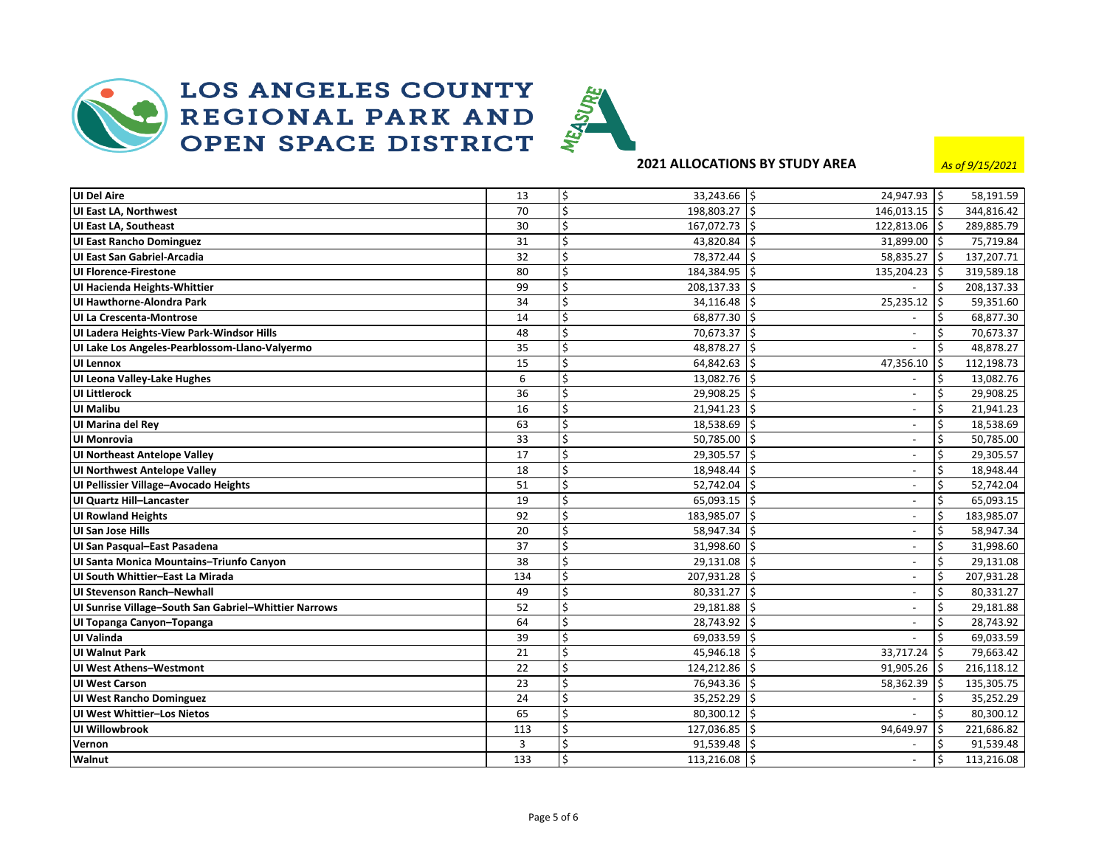



| UI Del Aire                                           | 13  | \$<br>$33,243.66$   \$ | 24,947.93                      | İ\$ | 58,191.59  |
|-------------------------------------------------------|-----|------------------------|--------------------------------|-----|------------|
| UI East LA, Northwest                                 | 70  | Ś<br>198,803.27 \$     | 146,013.15                     | ١\$ | 344,816.42 |
| UI East LA, Southeast                                 | 30  | Ś<br>167,072.73 \$     | 122,813.06                     | l\$ | 289,885.79 |
| <b>UI East Rancho Dominguez</b>                       | 31  | Ś<br>$43,820.84$ 5     | 31,899.00                      | ١ś  | 75,719.84  |
| UI East San Gabriel-Arcadia                           | 32  | Ś<br>78,372.44         | Ś<br>58,835.27                 | lś. | 137,207.71 |
| UI Florence-Firestone                                 | 80  | Ś<br>184,384.95   \$   | 135,204.23                     | l\$ | 319,589.18 |
| UI Hacienda Heights-Whittier                          | 99  | Ś<br>$208,137.33$   \$ |                                | \$  | 208,137.33 |
| UI Hawthorne-Alondra Park                             | 34  | Ś<br>34,116.48         | 25,235.12<br>Ŝ.                | l\$ | 59,351.60  |
| UI La Crescenta-Montrose                              | 14  | Ś<br>68,877.30         | Ś.                             | Ś   | 68,877.30  |
| UI Ladera Heights-View Park-Windsor Hills             | 48  | Ś<br>70,673.37   \$    | $\overline{a}$                 | \$  | 70,673.37  |
| UI Lake Los Angeles-Pearblossom-Llano-Valyermo        | 35  | Ś<br>48,878.27         | Ś.                             | Ś   | 48,878.27  |
| UI Lennox                                             | 15  | Ś<br>$64,842.63$ \$    | 47,356.10                      | ١\$ | 112,198.73 |
| UI Leona Valley-Lake Hughes                           | 6   | Ś<br>13,082.76         | Ś                              | \$  | 13,082.76  |
| UI Littlerock                                         | 36  | Ś<br>29,908.25         | \$<br>$\overline{a}$           | \$  | 29,908.25  |
| UI Malibu                                             | 16  | Ś<br>21,941.23         | Ś.<br>$\overline{\phantom{a}}$ | Ś   | 21,941.23  |
| UI Marina del Rey                                     | 63  | Ś<br>18,538.69         | Ś.<br>$\overline{\phantom{a}}$ | \$  | 18,538.69  |
| UI Monrovia                                           | 33  | Ś<br>50,785.00         | Ś<br>$\overline{\phantom{0}}$  | \$  | 50,785.00  |
| UI Northeast Antelope Valley                          | 17  | $29,305.57$ \$<br>Ś    | $\blacksquare$                 | \$  | 29,305.57  |
| UI Northwest Antelope Valley                          | 18  | Ś<br>18,948.44         | Ś.<br>$\overline{\phantom{a}}$ | \$  | 18,948.44  |
| UI Pellissier Village-Avocado Heights                 | 51  | Ś<br>$52,742.04$ \$    | $\overline{\phantom{0}}$       | \$  | 52,742.04  |
| UI Quartz Hill-Lancaster                              | 19  | Ś<br>$65,093.15$   \$  | $\overline{\phantom{0}}$       | \$  | 65,093.15  |
| <b>UI Rowland Heights</b>                             | 92  | Ś<br>183,985.07   \$   | $\overline{\phantom{0}}$       | \$  | 183,985.07 |
| UI San Jose Hills                                     | 20  | Ś<br>58,947.34         | Ś<br>$\overline{\phantom{0}}$  | Ś   | 58,947.34  |
| UI San Pasqual-East Pasadena                          | 37  | \$<br>31,998.60        | Ś.<br>$\overline{\phantom{a}}$ | \$  | 31,998.60  |
| UI Santa Monica Mountains-Triunfo Canyon              | 38  | Ś<br>$29,131.08$ 5     | $\overline{\phantom{a}}$       | \$  | 29,131.08  |
| UI South Whittier-East La Mirada                      | 134 | Ś<br>207,931.28 5      | $\overline{\phantom{0}}$       | \$  | 207,931.28 |
| <b>UI Stevenson Ranch-Newhall</b>                     | 49  | Ś<br>$80,331.27$   \$  | $\overline{\phantom{0}}$       | \$  | 80,331.27  |
| UI Sunrise Village-South San Gabriel-Whittier Narrows | 52  | Ś<br>29,181.88         | Ŝ.<br>$\overline{\phantom{a}}$ | Ś   | 29,181.88  |
| UI Topanga Canyon-Topanga                             | 64  | Ś<br>28,743.92         | Ŝ.<br>$\overline{\phantom{0}}$ | \$  | 28,743.92  |
| UI Valinda                                            | 39  | Ś<br>$69,033.59$ 5     |                                | Ś.  | 69,033.59  |
| UI Walnut Park                                        | 21  | Ś<br>45,946.18         | Ŝ.<br>33,717.24                | Ŝ.  | 79,663.42  |
| UI West Athens-Westmont                               | 22  | Ś<br>124,212.86        | Ś.<br>91,905.26                | ۱Ś  | 216,118.12 |
| UI West Carson                                        | 23  | Ś<br>76,943.36         | Ś<br>58,362.39                 | \$  | 135,305.75 |
| UI West Rancho Dominguez                              | 24  | Ś<br>35,252.29         | Ś.                             | \$  | 35,252.29  |
| UI West Whittier–Los Nietos                           | 65  | Ś<br>80,300.12         | Ś.<br>$\overline{\phantom{0}}$ | Ŝ.  | 80,300.12  |
| UI Willowbrook                                        | 113 | 127,036.85<br>Ś        | Ś<br>94,649.97                 | Ś   | 221,686.82 |
| Vernon                                                | 3   | ς<br>91,539.48         | Ś.                             |     | 91,539.48  |
| Walnut                                                | 133 | Ś<br>$113,216.08$   \$ | $\blacksquare$                 | \$  | 113,216.08 |